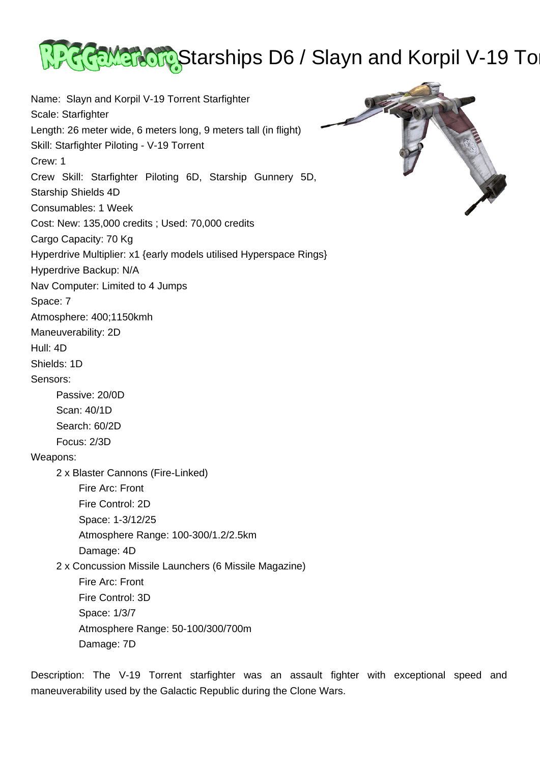

Name: Slayn and Korpil V-19 Torrent Starfighter Scale: Starfighter Length: 26 meter wide, 6 meters long, 9 meters tall (in flight) Skill: Starfighter Piloting - V-19 Torrent Crew: 1 Crew Skill: Starfighter Piloting 6D, Starship Gunnery 5D, Starship Shields 4D Consumables: 1 Week Cost: New: 135,000 credits ; Used: 70,000 credits Cargo Capacity: 70 Kg Hyperdrive Multiplier: x1 {early models utilised Hyperspace Rings} Hyperdrive Backup: N/A Nav Computer: Limited to 4 Jumps Space: 7 Atmosphere: 400;1150kmh Maneuverability: 2D Hull: 4D Shields: 1D Sensors: Passive: 20/0D Scan: 40/1D Search: 60/2D Focus: 2/3D Weapons: 2 x Blaster Cannons (Fire-Linked) Fire Arc: Front Fire Control: 2D Space: 1-3/12/25 Atmosphere Range: 100-300/1.2/2.5km Damage: 4D 2 x Concussion Missile Launchers (6 Missile Magazine) Fire Arc: Front Fire Control: 3D Space: 1/3/7 Atmosphere Range: 50-100/300/700m Damage: 7D

Description: The V-19 Torrent starfighter was an assault fighter with exceptional speed and maneuverability used by the Galactic Republic during the Clone Wars.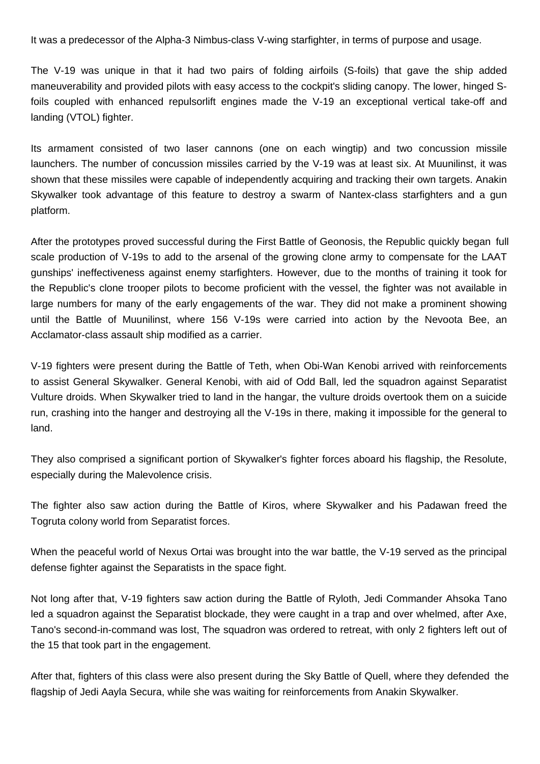It was a predecessor of the Alpha-3 Nimbus-class V-wing starfighter, in terms of purpose and usage.

The V-19 was unique in that it had two pairs of folding airfoils (S-foils) that gave the ship added maneuverability and provided pilots with easy access to the cockpit's sliding canopy. The lower, hinged Sfoils coupled with enhanced repulsorlift engines made the V-19 an exceptional vertical take-off and landing (VTOL) fighter.

Its armament consisted of two laser cannons (one on each wingtip) and two concussion missile launchers. The number of concussion missiles carried by the V-19 was at least six. At Muunilinst, it was shown that these missiles were capable of independently acquiring and tracking their own targets. Anakin Skywalker took advantage of this feature to destroy a swarm of Nantex-class starfighters and a gun platform.

After the prototypes proved successful during the First Battle of Geonosis, the Republic quickly began full scale production of V-19s to add to the arsenal of the growing clone army to compensate for the LAAT gunships' ineffectiveness against enemy starfighters. However, due to the months of training it took for the Republic's clone trooper pilots to become proficient with the vessel, the fighter was not available in large numbers for many of the early engagements of the war. They did not make a prominent showing until the Battle of Muunilinst, where 156 V-19s were carried into action by the Nevoota Bee, an Acclamator-class assault ship modified as a carrier.

V-19 fighters were present during the Battle of Teth, when Obi-Wan Kenobi arrived with reinforcements to assist General Skywalker. General Kenobi, with aid of Odd Ball, led the squadron against Separatist Vulture droids. When Skywalker tried to land in the hangar, the vulture droids overtook them on a suicide run, crashing into the hanger and destroying all the V-19s in there, making it impossible for the general to land.

They also comprised a significant portion of Skywalker's fighter forces aboard his flagship, the Resolute, especially during the Malevolence crisis.

The fighter also saw action during the Battle of Kiros, where Skywalker and his Padawan freed the Togruta colony world from Separatist forces.

When the peaceful world of Nexus Ortai was brought into the war battle, the V-19 served as the principal defense fighter against the Separatists in the space fight.

Not long after that, V-19 fighters saw action during the Battle of Ryloth, Jedi Commander Ahsoka Tano led a squadron against the Separatist blockade, they were caught in a trap and over whelmed, after Axe, Tano's second-in-command was lost, The squadron was ordered to retreat, with only 2 fighters left out of the 15 that took part in the engagement.

After that, fighters of this class were also present during the Sky Battle of Quell, where they defended the flagship of Jedi Aayla Secura, while she was waiting for reinforcements from Anakin Skywalker.